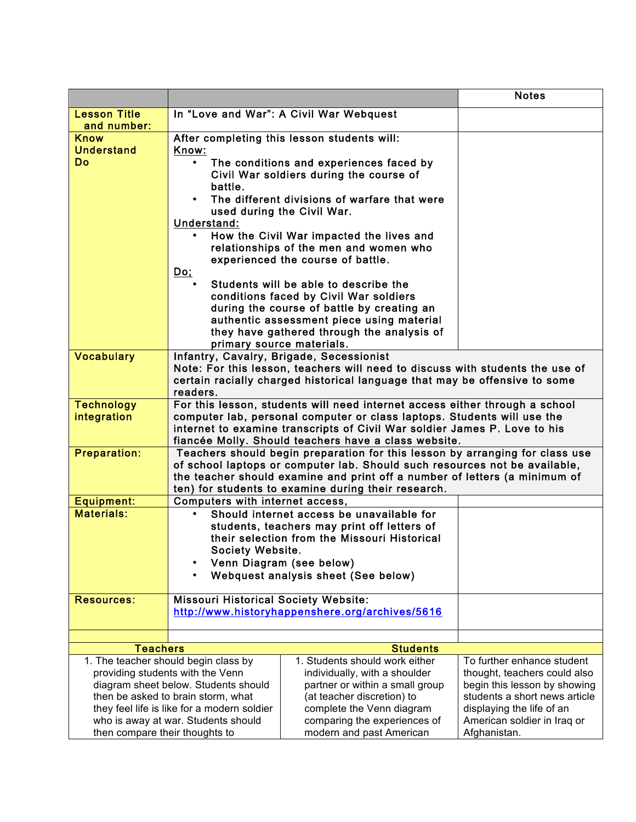|                                                                            |                                                                                                                                                        |                                                                                         | <b>Notes</b>                                                  |
|----------------------------------------------------------------------------|--------------------------------------------------------------------------------------------------------------------------------------------------------|-----------------------------------------------------------------------------------------|---------------------------------------------------------------|
| <b>Lesson Title</b>                                                        |                                                                                                                                                        | In "Love and War": A Civil War Webquest                                                 |                                                               |
| and number:                                                                |                                                                                                                                                        |                                                                                         |                                                               |
| <b>Know</b>                                                                | After completing this lesson students will:                                                                                                            |                                                                                         |                                                               |
| <b>Understand</b>                                                          | Know:                                                                                                                                                  |                                                                                         |                                                               |
| <b>Do</b>                                                                  |                                                                                                                                                        | The conditions and experiences faced by                                                 |                                                               |
|                                                                            |                                                                                                                                                        | Civil War soldiers during the course of                                                 |                                                               |
|                                                                            | battle.                                                                                                                                                | The different divisions of warfare that were                                            |                                                               |
|                                                                            |                                                                                                                                                        | used during the Civil War.                                                              |                                                               |
|                                                                            | Understand:                                                                                                                                            |                                                                                         |                                                               |
|                                                                            |                                                                                                                                                        | How the Civil War impacted the lives and                                                |                                                               |
|                                                                            |                                                                                                                                                        | relationships of the men and women who                                                  |                                                               |
|                                                                            |                                                                                                                                                        | experienced the course of battle.                                                       |                                                               |
|                                                                            | <u>Do;</u>                                                                                                                                             |                                                                                         |                                                               |
|                                                                            |                                                                                                                                                        | Students will be able to describe the                                                   |                                                               |
|                                                                            |                                                                                                                                                        | conditions faced by Civil War soldiers                                                  |                                                               |
|                                                                            |                                                                                                                                                        | during the course of battle by creating an                                              |                                                               |
|                                                                            |                                                                                                                                                        | authentic assessment piece using material<br>they have gathered through the analysis of |                                                               |
|                                                                            | primary source materials.                                                                                                                              |                                                                                         |                                                               |
| <b>Vocabulary</b>                                                          |                                                                                                                                                        | Infantry, Cavalry, Brigade, Secessionist                                                |                                                               |
|                                                                            |                                                                                                                                                        | Note: For this lesson, teachers will need to discuss with students the use of           |                                                               |
|                                                                            |                                                                                                                                                        | certain racially charged historical language that may be offensive to some              |                                                               |
|                                                                            | readers.                                                                                                                                               |                                                                                         |                                                               |
| <b>Technology</b>                                                          | For this lesson, students will need internet access either through a school<br>computer lab, personal computer or class laptops. Students will use the |                                                                                         |                                                               |
| integration                                                                |                                                                                                                                                        | internet to examine transcripts of Civil War soldier James P. Love to his               |                                                               |
|                                                                            |                                                                                                                                                        | fiancée Molly. Should teachers have a class website.                                    |                                                               |
| <b>Preparation:</b>                                                        |                                                                                                                                                        | Teachers should begin preparation for this lesson by arranging for class use            |                                                               |
|                                                                            |                                                                                                                                                        | of school laptops or computer lab. Should such resources not be available,              |                                                               |
|                                                                            |                                                                                                                                                        | the teacher should examine and print off a number of letters (a minimum of              |                                                               |
|                                                                            |                                                                                                                                                        | ten) for students to examine during their research.                                     |                                                               |
| <b>Equipment:</b><br><b>Materials:</b>                                     | Computers with internet access,                                                                                                                        | Should internet access be unavailable for                                               |                                                               |
|                                                                            |                                                                                                                                                        | students, teachers may print off letters of                                             |                                                               |
|                                                                            |                                                                                                                                                        | their selection from the Missouri Historical                                            |                                                               |
|                                                                            | <b>Society Website.</b>                                                                                                                                |                                                                                         |                                                               |
|                                                                            | $\bullet$                                                                                                                                              | Venn Diagram (see below)                                                                |                                                               |
|                                                                            |                                                                                                                                                        | Webquest analysis sheet (See below)                                                     |                                                               |
|                                                                            |                                                                                                                                                        |                                                                                         |                                                               |
| <b>Resources:</b>                                                          | <b>Missouri Historical Society Website:</b>                                                                                                            | http://www.historyhappenshere.org/archives/5616                                         |                                                               |
|                                                                            |                                                                                                                                                        |                                                                                         |                                                               |
|                                                                            |                                                                                                                                                        |                                                                                         |                                                               |
| <b>Teachers</b>                                                            |                                                                                                                                                        | <b>Students</b>                                                                         |                                                               |
|                                                                            | 1. The teacher should begin class by                                                                                                                   | 1. Students should work either                                                          | To further enhance student                                    |
|                                                                            | providing students with the Venn                                                                                                                       | individually, with a shoulder                                                           | thought, teachers could also                                  |
| diagram sheet below. Students should<br>then be asked to brain storm, what |                                                                                                                                                        | partner or within a small group<br>(at teacher discretion) to                           | begin this lesson by showing<br>students a short news article |
| they feel life is like for a modern soldier                                |                                                                                                                                                        | complete the Venn diagram                                                               | displaying the life of an                                     |
| who is away at war. Students should                                        |                                                                                                                                                        | comparing the experiences of                                                            | American soldier in Iraq or                                   |
| then compare their thoughts to                                             |                                                                                                                                                        | modern and past American                                                                | Afghanistan.                                                  |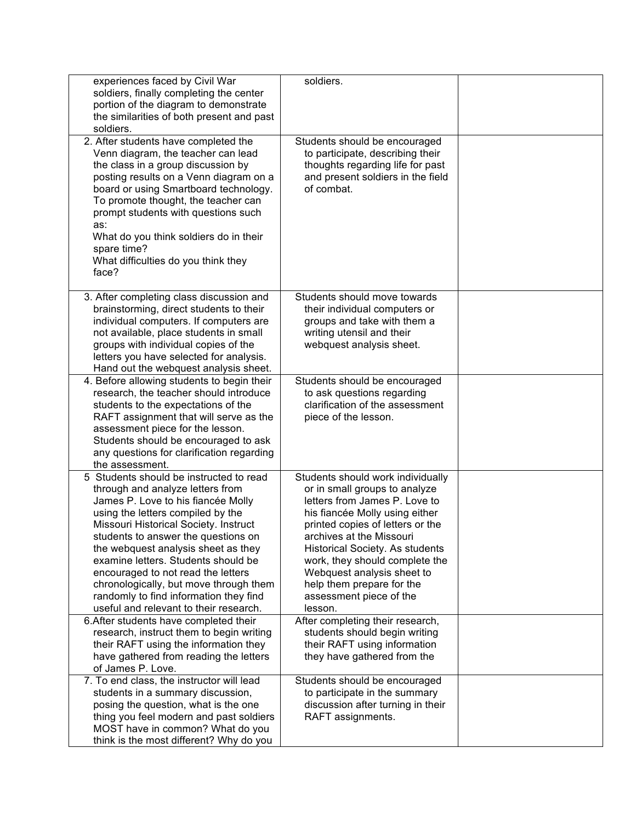| experiences faced by Civil War<br>soldiers, finally completing the center<br>portion of the diagram to demonstrate<br>the similarities of both present and past<br>soldiers.                                                                                                                                                                                                                                                                                                                                                       | soldiers.                                                                                                                                                                                                                                                                                                                                                                                                       |  |
|------------------------------------------------------------------------------------------------------------------------------------------------------------------------------------------------------------------------------------------------------------------------------------------------------------------------------------------------------------------------------------------------------------------------------------------------------------------------------------------------------------------------------------|-----------------------------------------------------------------------------------------------------------------------------------------------------------------------------------------------------------------------------------------------------------------------------------------------------------------------------------------------------------------------------------------------------------------|--|
| 2. After students have completed the<br>Venn diagram, the teacher can lead<br>the class in a group discussion by<br>posting results on a Venn diagram on a<br>board or using Smartboard technology.<br>To promote thought, the teacher can<br>prompt students with questions such<br>as:<br>What do you think soldiers do in their<br>spare time?<br>What difficulties do you think they<br>face?                                                                                                                                  | Students should be encouraged<br>to participate, describing their<br>thoughts regarding life for past<br>and present soldiers in the field<br>of combat.                                                                                                                                                                                                                                                        |  |
| 3. After completing class discussion and<br>brainstorming, direct students to their<br>individual computers. If computers are<br>not available, place students in small<br>groups with individual copies of the<br>letters you have selected for analysis.<br>Hand out the webquest analysis sheet.                                                                                                                                                                                                                                | Students should move towards<br>their individual computers or<br>groups and take with them a<br>writing utensil and their<br>webquest analysis sheet.                                                                                                                                                                                                                                                           |  |
| 4. Before allowing students to begin their<br>research, the teacher should introduce<br>students to the expectations of the<br>RAFT assignment that will serve as the<br>assessment piece for the lesson.<br>Students should be encouraged to ask<br>any questions for clarification regarding<br>the assessment.                                                                                                                                                                                                                  | Students should be encouraged<br>to ask questions regarding<br>clarification of the assessment<br>piece of the lesson.                                                                                                                                                                                                                                                                                          |  |
| 5 Students should be instructed to read<br>through and analyze letters from<br>James P. Love to his fiancée Molly<br>using the letters compiled by the<br>Missouri Historical Society. Instruct<br>students to answer the questions on<br>the webquest analysis sheet as they<br>examine letters. Students should be<br>encouraged to not read the letters<br>chronologically, but move through them<br>randomly to find information they find<br>useful and relevant to their research.<br>6. After students have completed their | Students should work individually<br>or in small groups to analyze<br>letters from James P. Love to<br>his fiancée Molly using either<br>printed copies of letters or the<br>archives at the Missouri<br>Historical Society. As students<br>work, they should complete the<br>Webquest analysis sheet to<br>help them prepare for the<br>assessment piece of the<br>lesson.<br>After completing their research, |  |
| research, instruct them to begin writing<br>their RAFT using the information they<br>have gathered from reading the letters<br>of James P. Love.                                                                                                                                                                                                                                                                                                                                                                                   | students should begin writing<br>their RAFT using information<br>they have gathered from the                                                                                                                                                                                                                                                                                                                    |  |
| 7. To end class, the instructor will lead<br>students in a summary discussion,<br>posing the question, what is the one<br>thing you feel modern and past soldiers<br>MOST have in common? What do you<br>think is the most different? Why do you                                                                                                                                                                                                                                                                                   | Students should be encouraged<br>to participate in the summary<br>discussion after turning in their<br>RAFT assignments.                                                                                                                                                                                                                                                                                        |  |